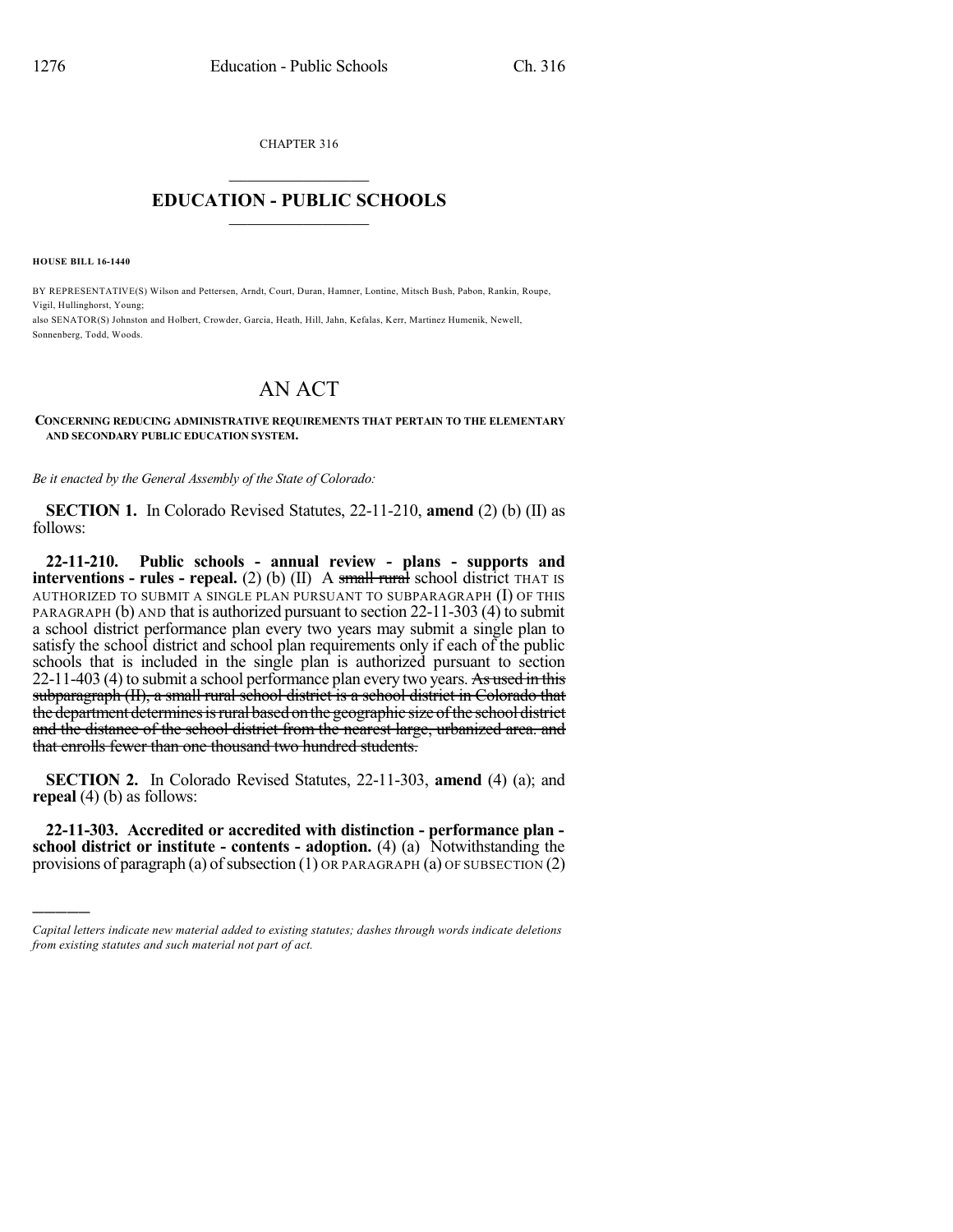CHAPTER 316

## $\overline{\phantom{a}}$  . The set of the set of the set of the set of the set of the set of the set of the set of the set of the set of the set of the set of the set of the set of the set of the set of the set of the set of the set o **EDUCATION - PUBLIC SCHOOLS**  $\_$   $\_$   $\_$   $\_$   $\_$   $\_$   $\_$   $\_$   $\_$

**HOUSE BILL 16-1440**

)))))

BY REPRESENTATIVE(S) Wilson and Pettersen, Arndt, Court, Duran, Hamner, Lontine, Mitsch Bush, Pabon, Rankin, Roupe, Vigil, Hullinghorst, Young; also SENATOR(S) Johnston and Holbert, Crowder, Garcia, Heath, Hill, Jahn, Kefalas, Kerr, Martinez Humenik, Newell, Sonnenberg, Todd, Woods.

## AN ACT

## **CONCERNING REDUCING ADMINISTRATIVE REQUIREMENTS THAT PERTAIN TO THE ELEMENTARY AND SECONDARY PUBLIC EDUCATION SYSTEM.**

*Be it enacted by the General Assembly of the State of Colorado:*

**SECTION 1.** In Colorado Revised Statutes, 22-11-210, **amend** (2) (b) (II) as follows:

**22-11-210. Public schools - annual review - plans - supports and interventions - rules** - **repeal.** (2) (b) (II) A small rural school district THAT IS AUTHORIZED TO SUBMIT A SINGLE PLAN PURSUANT TO SUBPARAGRAPH (I) OF THIS PARAGRAPH (b) AND that is authorized pursuant to section 22-11-303 (4) to submit a school district performance plan every two years may submit a single plan to satisfy the school district and school plan requirements only if each of the public schools that is included in the single plan is authorized pursuant to section 22-11-403 (4) to submit a school performance plan every two years. As used in this subparagraph (II), a small rural school district is a school district in Colorado that the department determines is rural based on the geographic size of the school district and the distance of the school district from the nearest large, urbanized area. and that enrolls fewer than one thousand two hundred students.

**SECTION 2.** In Colorado Revised Statutes, 22-11-303, **amend** (4) (a); and **repeal** (4) (b) as follows:

**22-11-303. Accredited or accredited with distinction - performance plan school district or institute - contents - adoption.** (4) (a) Notwithstanding the provisions of paragraph (a) of subsection  $(1)$  OR PARAGRAPH  $(a)$  OF SUBSECTION  $(2)$ 

*Capital letters indicate new material added to existing statutes; dashes through words indicate deletions from existing statutes and such material not part of act.*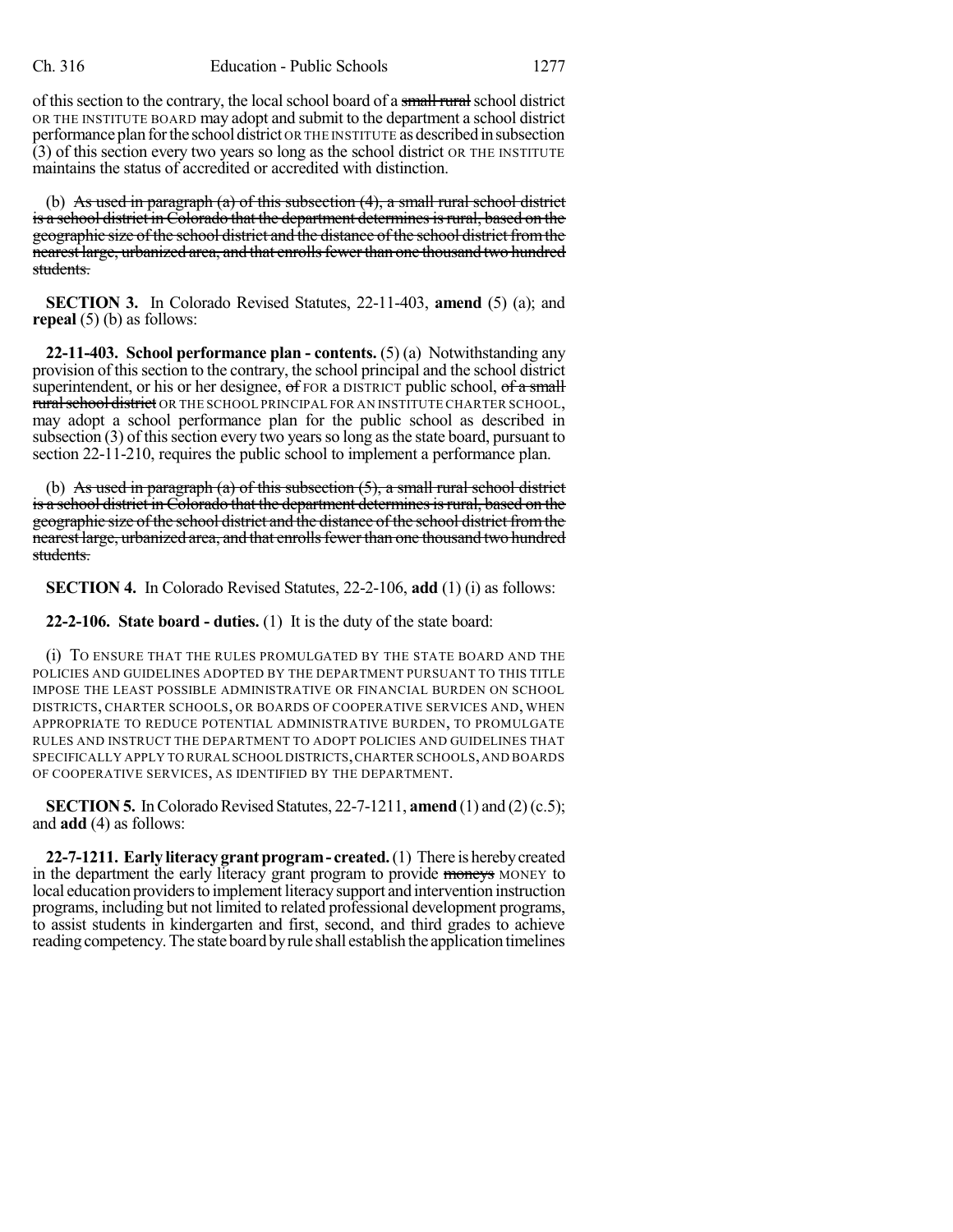of this section to the contrary, the local school board of a small rural school district OR THE INSTITUTE BOARD may adopt and submit to the department a school district performance plan for the school district OR THE INSTITUTE as described in subsection (3) of this section every two years so long as the school district OR THE INSTITUTE maintains the status of accredited or accredited with distinction.

(b) As used in paragraph (a) of this subsection  $(4)$ , a small rural school district is a school district in Colorado that the department determines is rural, based on the geographic size of the school district and the distance of the school district from the nearest large, urbanized area, and that enrolls fewer than one thousand two hundred students.

**SECTION 3.** In Colorado Revised Statutes, 22-11-403, **amend** (5) (a); and **repeal** (5) (b) as follows:

**22-11-403. School performance plan - contents.** (5) (a) Notwithstanding any provision of thissection to the contrary, the school principal and the school district superintendent, or his or her designee,  $\sigma$  FOR a DISTRICT public school,  $\sigma$  f a small rural school district OR THE SCHOOL PRINCIPAL FOR AN INSTITUTE CHARTER SCHOOL, may adopt a school performance plan for the public school as described in subsection  $(3)$  of this section every two years so long as the state board, pursuant to section 22-11-210, requires the public school to implement a performance plan.

(b) As used in paragraph (a) of this subsection  $(5)$ , a small rural school district is a school district in Colorado that the department determines is rural, based on the geographic size of the school district and the distance of the school district from the nearest large, urbanized area, and that enrolls fewer than one thousand two hundred students.

**SECTION 4.** In Colorado Revised Statutes, 22-2-106, **add** (1) (i) as follows:

**22-2-106. State board - duties.** (1) It is the duty of the state board:

(i) TO ENSURE THAT THE RULES PROMULGATED BY THE STATE BOARD AND THE POLICIES AND GUIDELINES ADOPTED BY THE DEPARTMENT PURSUANT TO THIS TITLE IMPOSE THE LEAST POSSIBLE ADMINISTRATIVE OR FINANCIAL BURDEN ON SCHOOL DISTRICTS, CHARTER SCHOOLS, OR BOARDS OF COOPERATIVE SERVICES AND, WHEN APPROPRIATE TO REDUCE POTENTIAL ADMINISTRATIVE BURDEN, TO PROMULGATE RULES AND INSTRUCT THE DEPARTMENT TO ADOPT POLICIES AND GUIDELINES THAT SPECIFICALLY APPLY TO RURAL SCHOOL DISTRICTS,CHARTER SCHOOLS,AND BOARDS OF COOPERATIVE SERVICES, AS IDENTIFIED BY THE DEPARTMENT.

**SECTION 5.** In Colorado Revised Statutes,  $22-7-1211$ , **amend** (1) and (2)(c.5); and **add** (4) as follows:

**22-7-1211. Early literacy grantprogram- created.**(1) There is herebycreated in the department the early literacy grant program to provide moneys MONEY to local education providers to implement literacy support and intervention instruction programs, including but not limited to related professional development programs, to assist students in kindergarten and first, second, and third grades to achieve reading competency. The state board by rule shall establish the application timelines